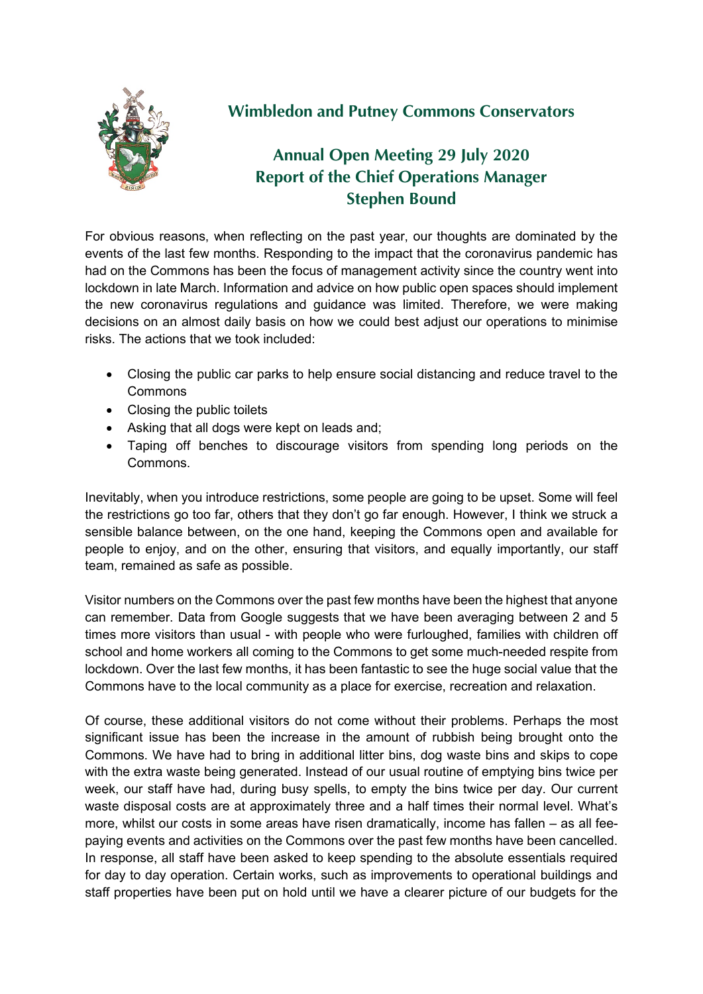

## **Wimbledon and Putney Commons Conservators**

## **Annual Open Meeting 29 July 2020 Report of the Chief Operations Manager Stephen Bound**

For obvious reasons, when reflecting on the past year, our thoughts are dominated by the events of the last few months. Responding to the impact that the coronavirus pandemic has had on the Commons has been the focus of management activity since the country went into lockdown in late March. Information and advice on how public open spaces should implement the new coronavirus regulations and guidance was limited. Therefore, we were making decisions on an almost daily basis on how we could best adjust our operations to minimise risks. The actions that we took included:

- Closing the public car parks to help ensure social distancing and reduce travel to the Commons
- Closing the public toilets
- Asking that all dogs were kept on leads and;
- Taping off benches to discourage visitors from spending long periods on the Commons.

Inevitably, when you introduce restrictions, some people are going to be upset. Some will feel the restrictions go too far, others that they don't go far enough. However, I think we struck a sensible balance between, on the one hand, keeping the Commons open and available for people to enjoy, and on the other, ensuring that visitors, and equally importantly, our staff team, remained as safe as possible.

Visitor numbers on the Commons over the past few months have been the highest that anyone can remember. Data from Google suggests that we have been averaging between 2 and 5 times more visitors than usual - with people who were furloughed, families with children off school and home workers all coming to the Commons to get some much-needed respite from lockdown. Over the last few months, it has been fantastic to see the huge social value that the Commons have to the local community as a place for exercise, recreation and relaxation.

Of course, these additional visitors do not come without their problems. Perhaps the most significant issue has been the increase in the amount of rubbish being brought onto the Commons. We have had to bring in additional litter bins, dog waste bins and skips to cope with the extra waste being generated. Instead of our usual routine of emptying bins twice per week, our staff have had, during busy spells, to empty the bins twice per day. Our current waste disposal costs are at approximately three and a half times their normal level. What's more, whilst our costs in some areas have risen dramatically, income has fallen – as all feepaying events and activities on the Commons over the past few months have been cancelled. In response, all staff have been asked to keep spending to the absolute essentials required for day to day operation. Certain works, such as improvements to operational buildings and staff properties have been put on hold until we have a clearer picture of our budgets for the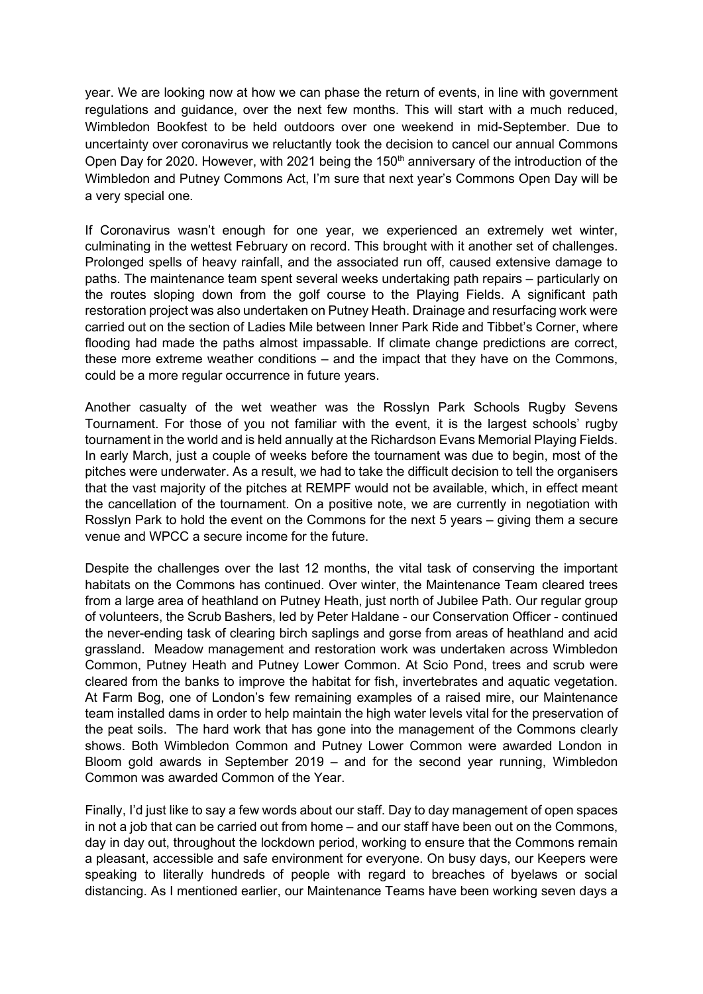year. We are looking now at how we can phase the return of events, in line with government regulations and guidance, over the next few months. This will start with a much reduced, Wimbledon Bookfest to be held outdoors over one weekend in mid-September. Due to uncertainty over coronavirus we reluctantly took the decision to cancel our annual Commons Open Day for 2020. However, with 2021 being the 150<sup>th</sup> anniversary of the introduction of the Wimbledon and Putney Commons Act, I'm sure that next year's Commons Open Day will be a very special one.

If Coronavirus wasn't enough for one year, we experienced an extremely wet winter, culminating in the wettest February on record. This brought with it another set of challenges. Prolonged spells of heavy rainfall, and the associated run off, caused extensive damage to paths. The maintenance team spent several weeks undertaking path repairs – particularly on the routes sloping down from the golf course to the Playing Fields. A significant path restoration project was also undertaken on Putney Heath. Drainage and resurfacing work were carried out on the section of Ladies Mile between Inner Park Ride and Tibbet's Corner, where flooding had made the paths almost impassable. If climate change predictions are correct, these more extreme weather conditions – and the impact that they have on the Commons, could be a more regular occurrence in future years.

Another casualty of the wet weather was the Rosslyn Park Schools Rugby Sevens Tournament. For those of you not familiar with the event, it is the largest schools' rugby tournament in the world and is held annually at the Richardson Evans Memorial Playing Fields. In early March, just a couple of weeks before the tournament was due to begin, most of the pitches were underwater. As a result, we had to take the difficult decision to tell the organisers that the vast majority of the pitches at REMPF would not be available, which, in effect meant the cancellation of the tournament. On a positive note, we are currently in negotiation with Rosslyn Park to hold the event on the Commons for the next 5 years – giving them a secure venue and WPCC a secure income for the future.

Despite the challenges over the last 12 months, the vital task of conserving the important habitats on the Commons has continued. Over winter, the Maintenance Team cleared trees from a large area of heathland on Putney Heath, just north of Jubilee Path. Our regular group of volunteers, the Scrub Bashers, led by Peter Haldane - our Conservation Officer - continued the never-ending task of clearing birch saplings and gorse from areas of heathland and acid grassland. Meadow management and restoration work was undertaken across Wimbledon Common, Putney Heath and Putney Lower Common. At Scio Pond, trees and scrub were cleared from the banks to improve the habitat for fish, invertebrates and aquatic vegetation. At Farm Bog, one of London's few remaining examples of a raised mire, our Maintenance team installed dams in order to help maintain the high water levels vital for the preservation of the peat soils. The hard work that has gone into the management of the Commons clearly shows. Both Wimbledon Common and Putney Lower Common were awarded London in Bloom gold awards in September 2019 – and for the second year running, Wimbledon Common was awarded Common of the Year.

Finally, I'd just like to say a few words about our staff. Day to day management of open spaces in not a job that can be carried out from home – and our staff have been out on the Commons, day in day out, throughout the lockdown period, working to ensure that the Commons remain a pleasant, accessible and safe environment for everyone. On busy days, our Keepers were speaking to literally hundreds of people with regard to breaches of byelaws or social distancing. As I mentioned earlier, our Maintenance Teams have been working seven days a